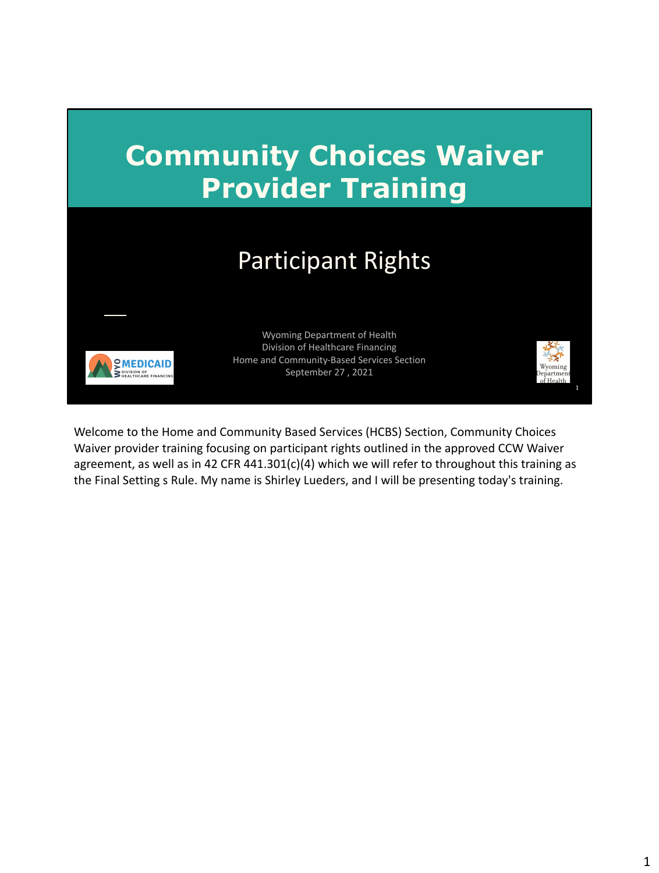

Welcome to the Home and Community Based Services (HCBS) Section, Community Choices Waiver provider training focusing on participant rights outlined in the approved CCW Waiver agreement, as well as in 42 CFR 441.301(c)(4) which we will refer to throughout this training as the Final Setting s Rule. My name is Shirley Lueders, and I will be presenting today's training.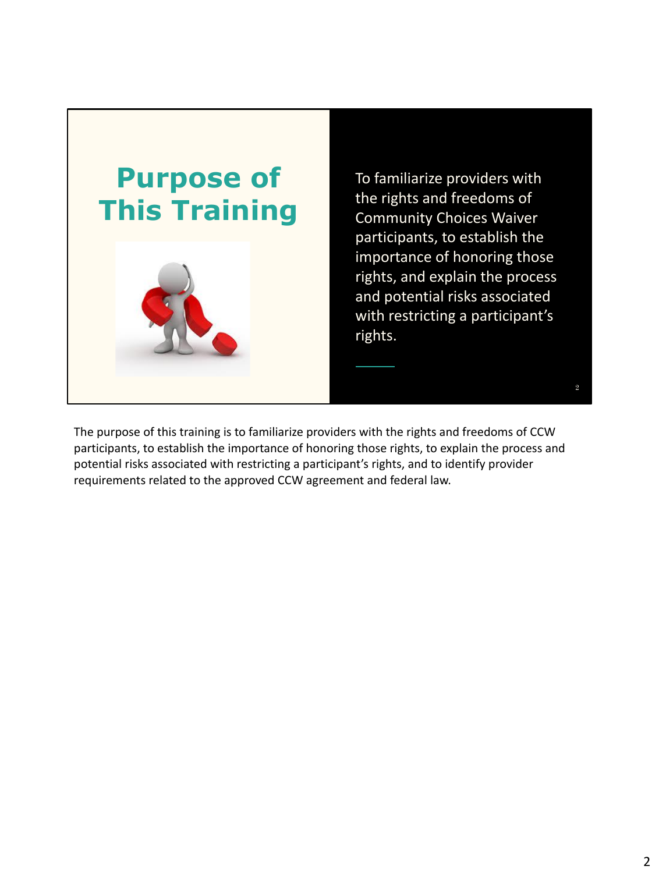

To familiarize providers with the rights and freedoms of Community Choices Waiver participants, to establish the importance of honoring those rights, and explain the process and potential risks associated with restricting a participant's rights.

2

The purpose of this training is to familiarize providers with the rights and freedoms of CCW participants, to establish the importance of honoring those rights, to explain the process and potential risks associated with restricting a participant's rights, and to identify provider requirements related to the approved CCW agreement and federal law.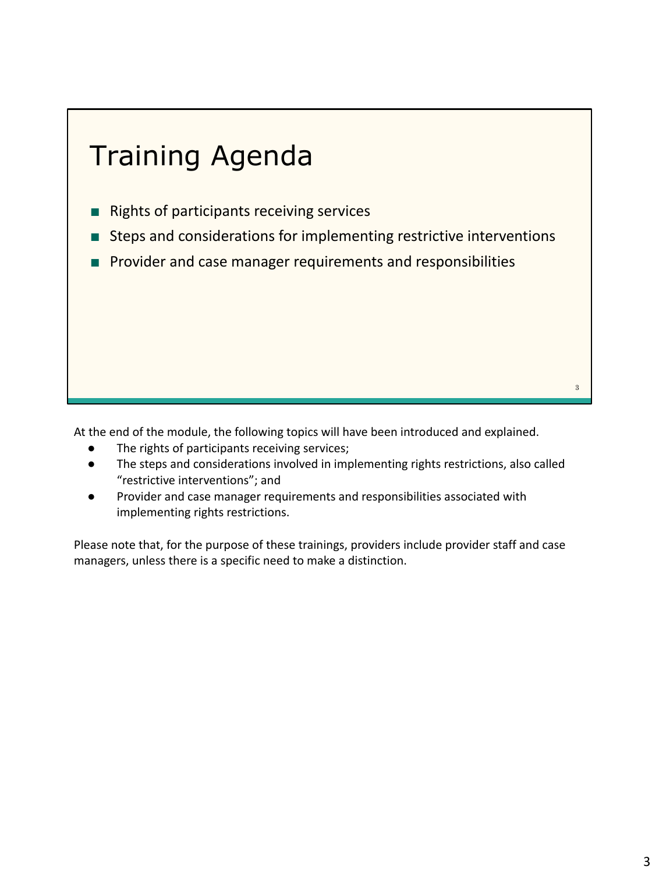

At the end of the module, the following topics will have been introduced and explained.

- The rights of participants receiving services;
- The steps and considerations involved in implementing rights restrictions, also called "restrictive interventions"; and
- Provider and case manager requirements and responsibilities associated with implementing rights restrictions.

Please note that, for the purpose of these trainings, providers include provider staff and case managers, unless there is a specific need to make a distinction.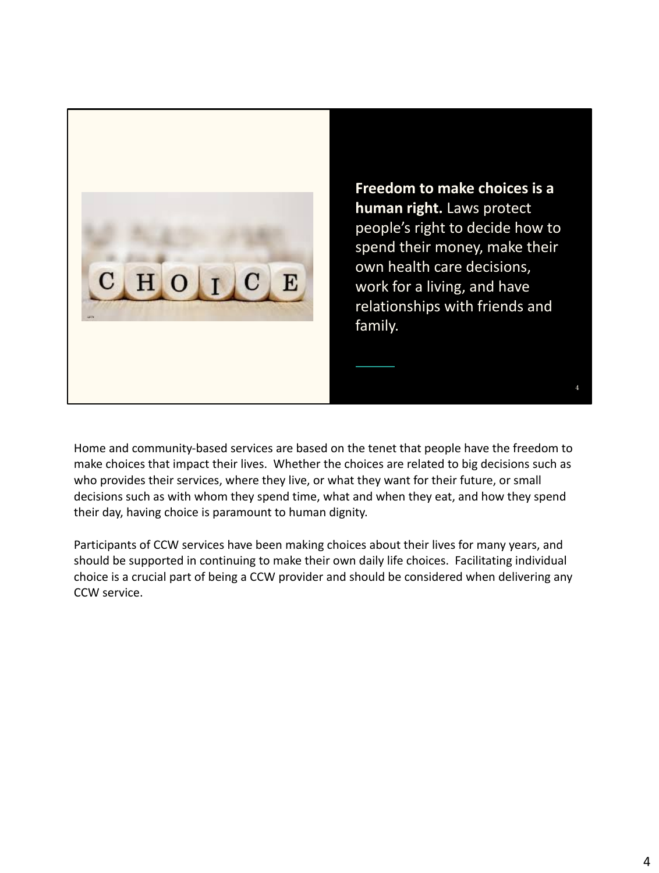

**Freedom to make choices is a human right.** Laws protect people's right to decide how to spend their money, make their own health care decisions, work for a living, and have relationships with friends and family.

4

Home and community-based services are based on the tenet that people have the freedom to make choices that impact their lives. Whether the choices are related to big decisions such as who provides their services, where they live, or what they want for their future, or small decisions such as with whom they spend time, what and when they eat, and how they spend their day, having choice is paramount to human dignity.

Participants of CCW services have been making choices about their lives for many years, and should be supported in continuing to make their own daily life choices. Facilitating individual choice is a crucial part of being a CCW provider and should be considered when delivering any CCW service.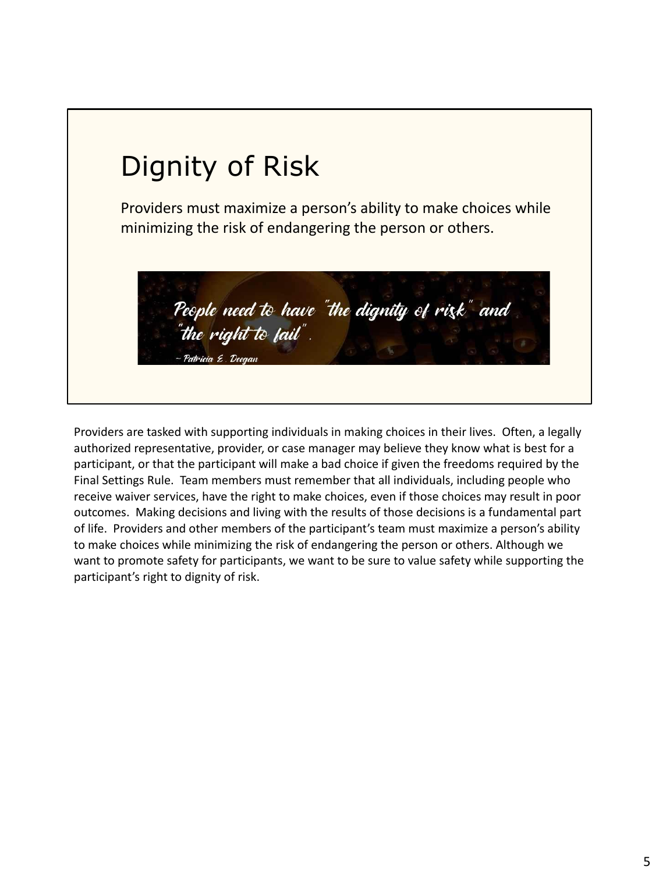

Providers are tasked with supporting individuals in making choices in their lives. Often, a legally authorized representative, provider, or case manager may believe they know what is best for a participant, or that the participant will make a bad choice if given the freedoms required by the Final Settings Rule. Team members must remember that all individuals, including people who receive waiver services, have the right to make choices, even if those choices may result in poor outcomes. Making decisions and living with the results of those decisions is a fundamental part of life. Providers and other members of the participant's team must maximize a person's ability to make choices while minimizing the risk of endangering the person or others. Although we want to promote safety for participants, we want to be sure to value safety while supporting the participant's right to dignity of risk.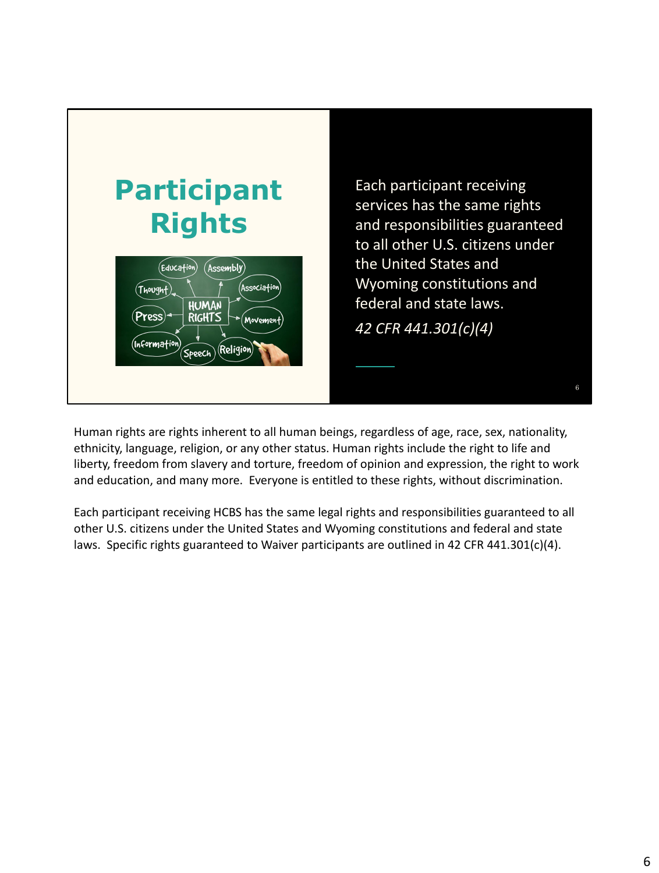

Human rights are rights inherent to all human beings, regardless of age, race, sex, nationality, ethnicity, language, religion, or any other status. Human rights include the right to life and liberty, freedom from slavery and torture, freedom of opinion and expression, the right to work and education, and many more. Everyone is entitled to these rights, without discrimination.

Each participant receiving HCBS has the same legal rights and responsibilities guaranteed to all other U.S. citizens under the United States and Wyoming constitutions and federal and state laws. Specific rights guaranteed to Waiver participants are outlined in 42 CFR 441.301(c)(4).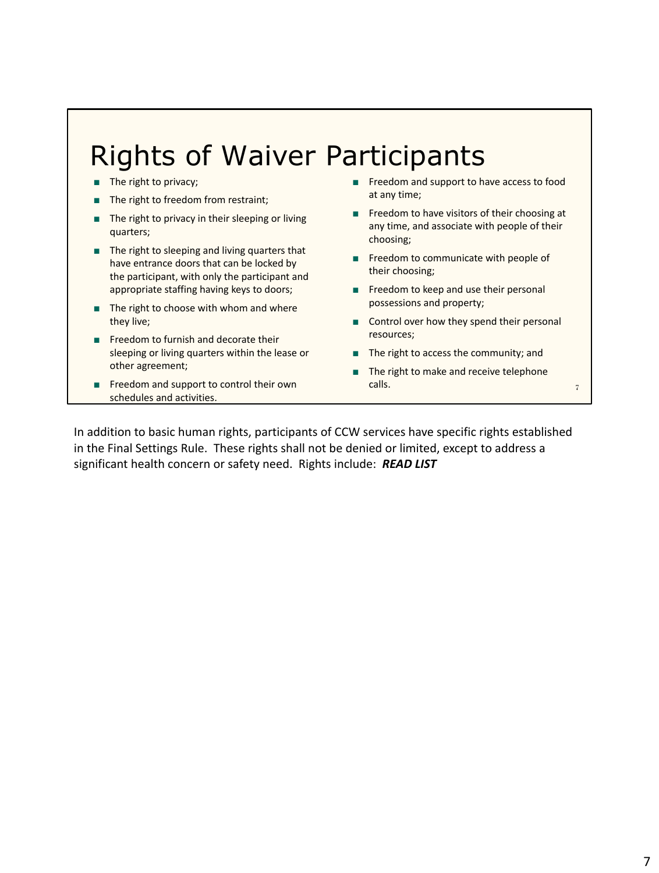#### Rights of Waiver Participants

- The right to privacy;
- The right to freedom from restraint;
- The right to privacy in their sleeping or living quarters;
- The right to sleeping and living quarters that have entrance doors that can be locked by the participant, with only the participant and appropriate staffing having keys to doors;
- The right to choose with whom and where they live;
- Freedom to furnish and decorate their sleeping or living quarters within the lease or other agreement;
- Freedom and support to control their own schedules and activities.
- Freedom and support to have access to food at any time;
- Freedom to have visitors of their choosing at any time, and associate with people of their choosing;
- Freedom to communicate with people of their choosing;
- Freedom to keep and use their personal possessions and property;
- Control over how they spend their personal resources;
- The right to access the community; and
- The right to make and receive telephone calls. The contract of the contract of the contract of the contract of the contract of the contract of the contract of the contract of the contract of the contract of the contract of the contract of the contract of the con

In addition to basic human rights, participants of CCW services have specific rights established in the Final Settings Rule. These rights shall not be denied or limited, except to address a significant health concern or safety need. Rights include: *READ LIST*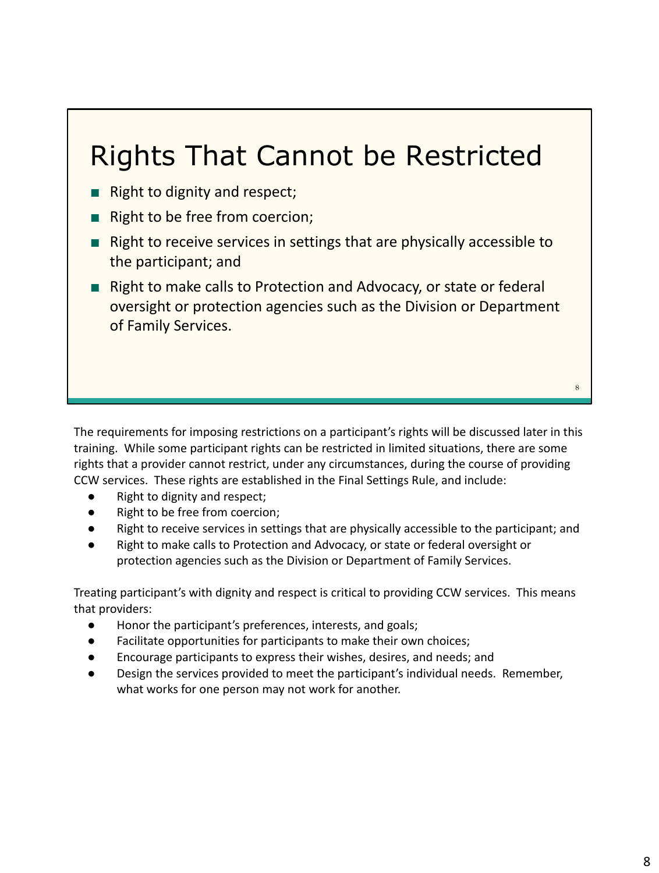### Rights That Cannot be Restricted

- Right to dignity and respect;
- Right to be free from coercion;
- Right to receive services in settings that are physically accessible to the participant; and
- Right to make calls to Protection and Advocacy, or state or federal oversight or protection agencies such as the Division or Department of Family Services.

The requirements for imposing restrictions on a participant's rights will be discussed later in this training. While some participant rights can be restricted in limited situations, there are some rights that a provider cannot restrict, under any circumstances, during the course of providing CCW services. These rights are established in the Final Settings Rule, and include:

- Right to dignity and respect;
- Right to be free from coercion;
- Right to receive services in settings that are physically accessible to the participant; and
- Right to make calls to Protection and Advocacy, or state or federal oversight or protection agencies such as the Division or Department of Family Services.

Treating participant's with dignity and respect is critical to providing CCW services. This means that providers:

- Honor the participant's preferences, interests, and goals;
- Facilitate opportunities for participants to make their own choices;
- Encourage participants to express their wishes, desires, and needs; and
- Design the services provided to meet the participant's individual needs. Remember, what works for one person may not work for another.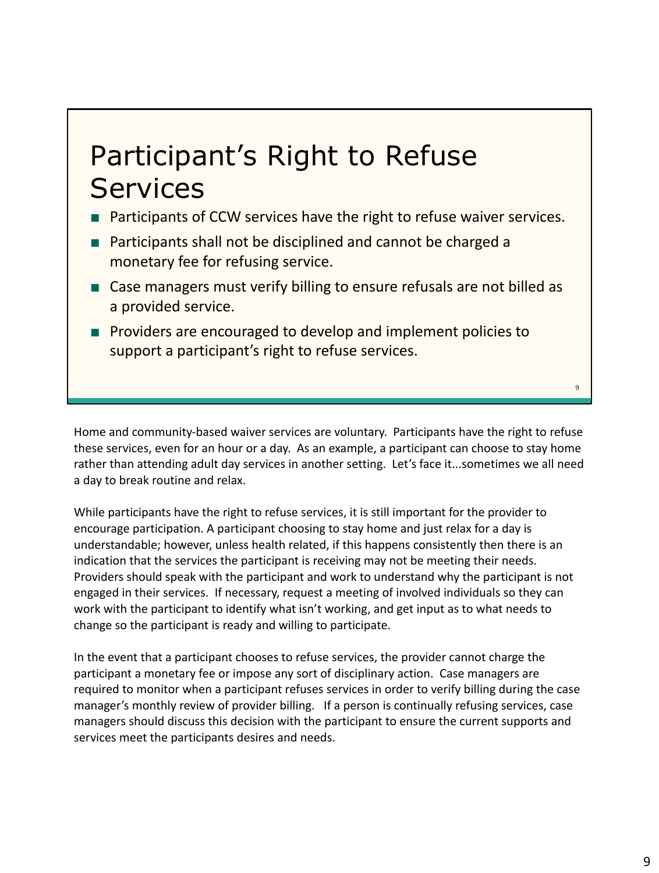### Participant's Right to Refuse **Services**

- Participants of CCW services have the right to refuse waiver services.
- Participants shall not be disciplined and cannot be charged a monetary fee for refusing service.
- Case managers must verify billing to ensure refusals are not billed as a provided service.
- Providers are encouraged to develop and implement policies to support a participant's right to refuse services.

Home and community-based waiver services are voluntary. Participants have the right to refuse these services, even for an hour or a day. As an example, a participant can choose to stay home rather than attending adult day services in another setting. Let's face it...sometimes we all need a day to break routine and relax.

While participants have the right to refuse services, it is still important for the provider to encourage participation. A participant choosing to stay home and just relax for a day is understandable; however, unless health related, if this happens consistently then there is an indication that the services the participant is receiving may not be meeting their needs. Providers should speak with the participant and work to understand why the participant is not engaged in their services. If necessary, request a meeting of involved individuals so they can work with the participant to identify what isn't working, and get input as to what needs to change so the participant is ready and willing to participate.

In the event that a participant chooses to refuse services, the provider cannot charge the participant a monetary fee or impose any sort of disciplinary action. Case managers are required to monitor when a participant refuses services in order to verify billing during the case manager's monthly review of provider billing. If a person is continually refusing services, case managers should discuss this decision with the participant to ensure the current supports and services meet the participants desires and needs.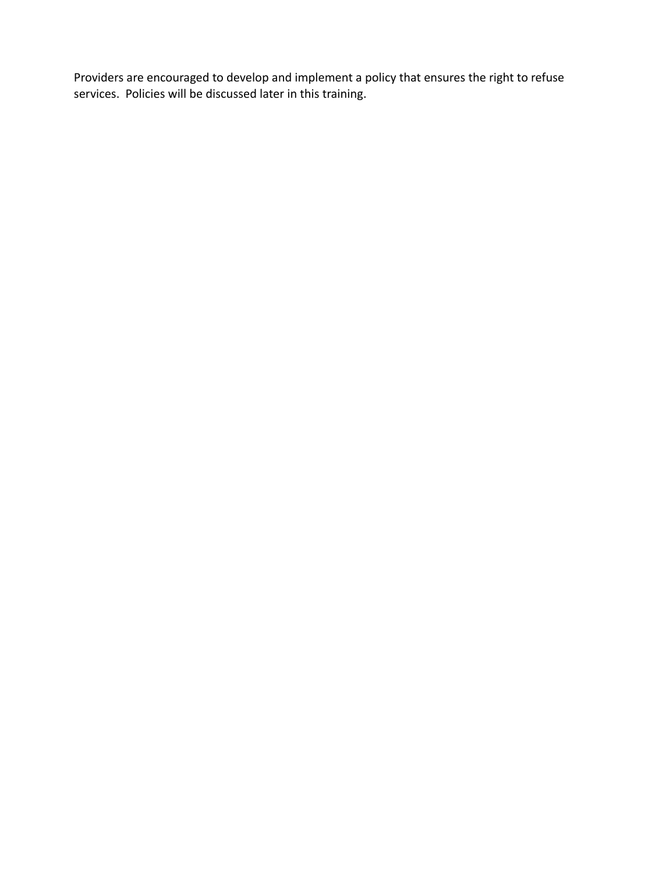Providers are encouraged to develop and implement a policy that ensures the right to refuse services. Policies will be discussed later in this training.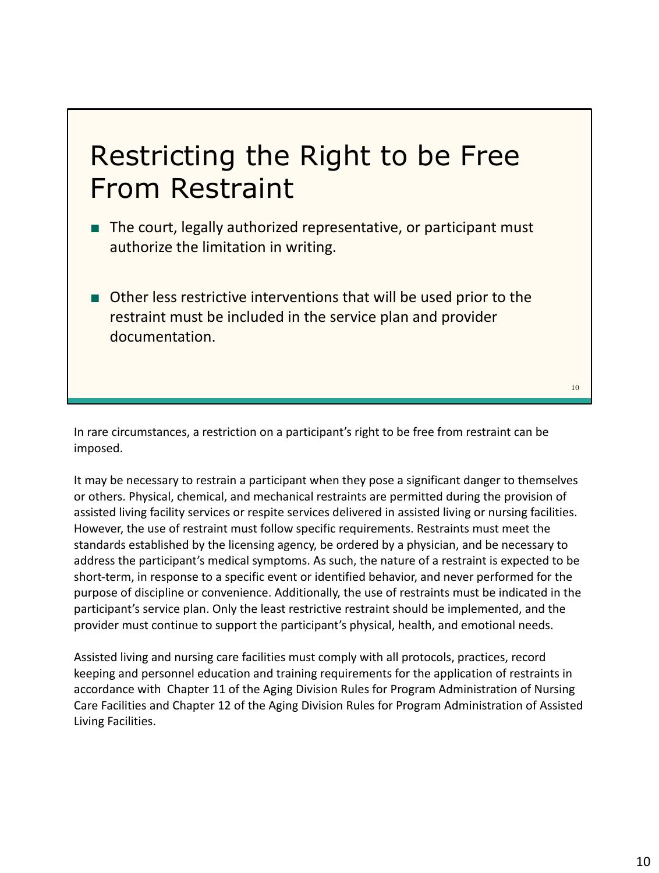### Restricting the Right to be Free From Restraint

- The court, legally authorized representative, or participant must authorize the limitation in writing.
- Other less restrictive interventions that will be used prior to the restraint must be included in the service plan and provider documentation.

10

In rare circumstances, a restriction on a participant's right to be free from restraint can be imposed.

It may be necessary to restrain a participant when they pose a significant danger to themselves or others. Physical, chemical, and mechanical restraints are permitted during the provision of assisted living facility services or respite services delivered in assisted living or nursing facilities. However, the use of restraint must follow specific requirements. Restraints must meet the standards established by the licensing agency, be ordered by a physician, and be necessary to address the participant's medical symptoms. As such, the nature of a restraint is expected to be short-term, in response to a specific event or identified behavior, and never performed for the purpose of discipline or convenience. Additionally, the use of restraints must be indicated in the participant's service plan. Only the least restrictive restraint should be implemented, and the provider must continue to support the participant's physical, health, and emotional needs.

Assisted living and nursing care facilities must comply with all protocols, practices, record keeping and personnel education and training requirements for the application of restraints in accordance with Chapter 11 of the Aging Division Rules for Program Administration of Nursing Care Facilities and Chapter 12 of the Aging Division Rules for Program Administration of Assisted Living Facilities.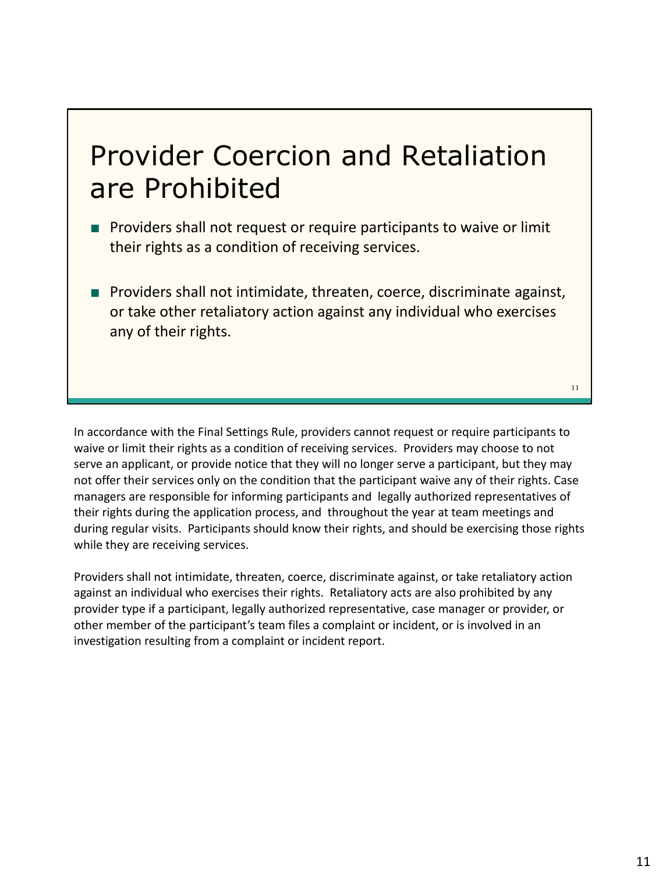### Provider Coercion and Retaliation are Prohibited

- Providers shall not request or require participants to waive or limit their rights as a condition of receiving services.
- Providers shall not intimidate, threaten, coerce, discriminate against, or take other retaliatory action against any individual who exercises any of their rights.

In accordance with the Final Settings Rule, providers cannot request or require participants to waive or limit their rights as a condition of receiving services. Providers may choose to not serve an applicant, or provide notice that they will no longer serve a participant, but they may not offer their services only on the condition that the participant waive any of their rights. Case managers are responsible for informing participants and legally authorized representatives of their rights during the application process, and throughout the year at team meetings and during regular visits. Participants should know their rights, and should be exercising those rights while they are receiving services.

Providers shall not intimidate, threaten, coerce, discriminate against, or take retaliatory action against an individual who exercises their rights. Retaliatory acts are also prohibited by any provider type if a participant, legally authorized representative, case manager or provider, or other member of the participant's team files a complaint or incident, or is involved in an investigation resulting from a complaint or incident report.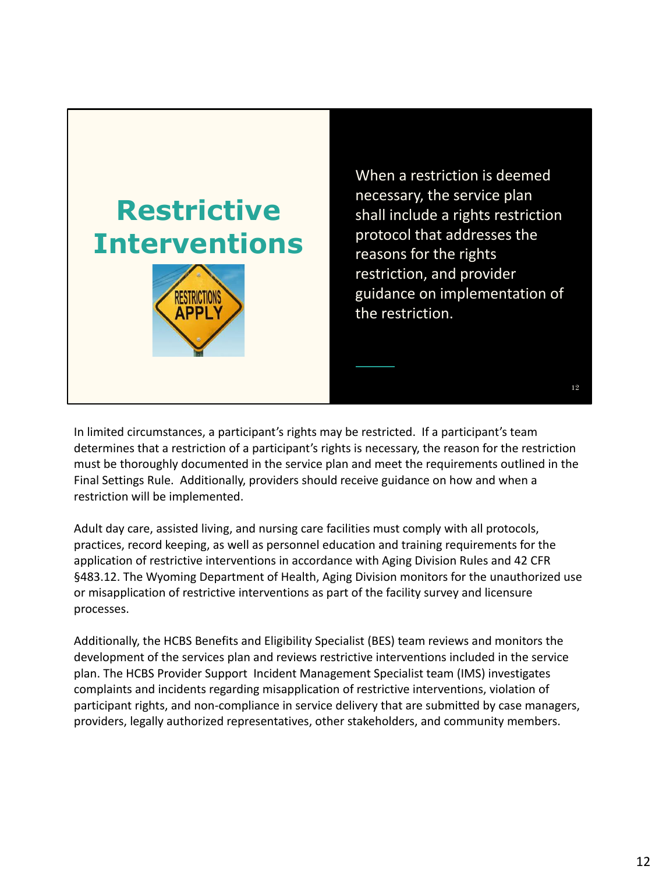



When a restriction is deemed necessary, the service plan shall include a rights restriction protocol that addresses the reasons for the rights restriction, and provider guidance on implementation of the restriction.

12

In limited circumstances, a participant's rights may be restricted. If a participant's team determines that a restriction of a participant's rights is necessary, the reason for the restriction must be thoroughly documented in the service plan and meet the requirements outlined in the Final Settings Rule. Additionally, providers should receive guidance on how and when a restriction will be implemented.

Adult day care, assisted living, and nursing care facilities must comply with all protocols, practices, record keeping, as well as personnel education and training requirements for the application of restrictive interventions in accordance with Aging Division Rules and 42 CFR §483.12. The Wyoming Department of Health, Aging Division monitors for the unauthorized use or misapplication of restrictive interventions as part of the facility survey and licensure processes.

Additionally, the HCBS Benefits and Eligibility Specialist (BES) team reviews and monitors the development of the services plan and reviews restrictive interventions included in the service plan. The HCBS Provider Support Incident Management Specialist team (IMS) investigates complaints and incidents regarding misapplication of restrictive interventions, violation of participant rights, and non-compliance in service delivery that are submitted by case managers, providers, legally authorized representatives, other stakeholders, and community members.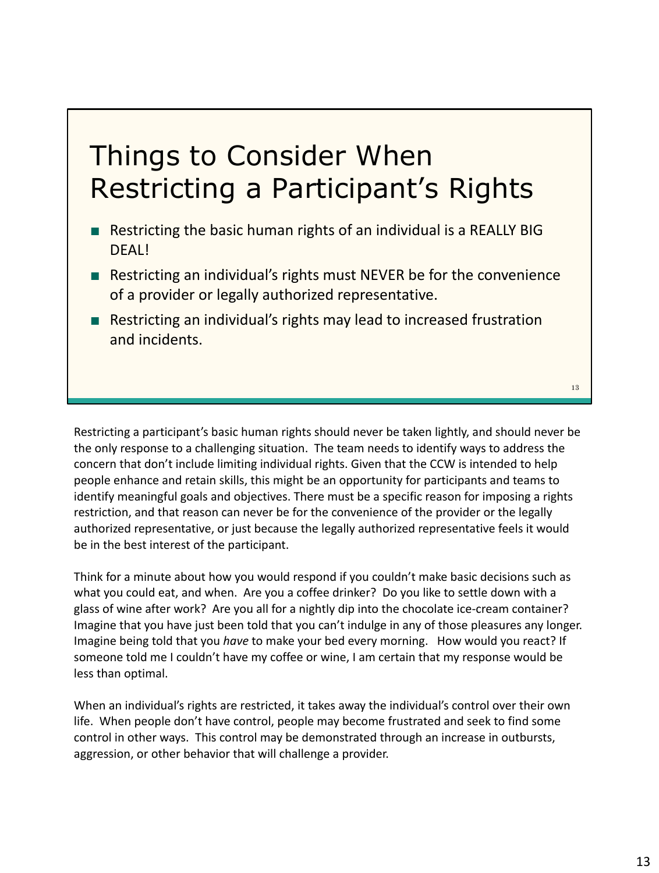### Things to Consider When Restricting a Participant's Rights

- Restricting the basic human rights of an individual is a REALLY BIG DFAL!
- Restricting an individual's rights must NEVER be for the convenience of a provider or legally authorized representative.
- Restricting an individual's rights may lead to increased frustration and incidents.

Restricting a participant's basic human rights should never be taken lightly, and should never be the only response to a challenging situation. The team needs to identify ways to address the concern that don't include limiting individual rights. Given that the CCW is intended to help people enhance and retain skills, this might be an opportunity for participants and teams to identify meaningful goals and objectives. There must be a specific reason for imposing a rights restriction, and that reason can never be for the convenience of the provider or the legally authorized representative, or just because the legally authorized representative feels it would be in the best interest of the participant.

Think for a minute about how you would respond if you couldn't make basic decisions such as what you could eat, and when. Are you a coffee drinker? Do you like to settle down with a glass of wine after work? Are you all for a nightly dip into the chocolate ice-cream container? Imagine that you have just been told that you can't indulge in any of those pleasures any longer. Imagine being told that you *have* to make your bed every morning. How would you react? If someone told me I couldn't have my coffee or wine, I am certain that my response would be less than optimal.

When an individual's rights are restricted, it takes away the individual's control over their own life. When people don't have control, people may become frustrated and seek to find some control in other ways. This control may be demonstrated through an increase in outbursts, aggression, or other behavior that will challenge a provider.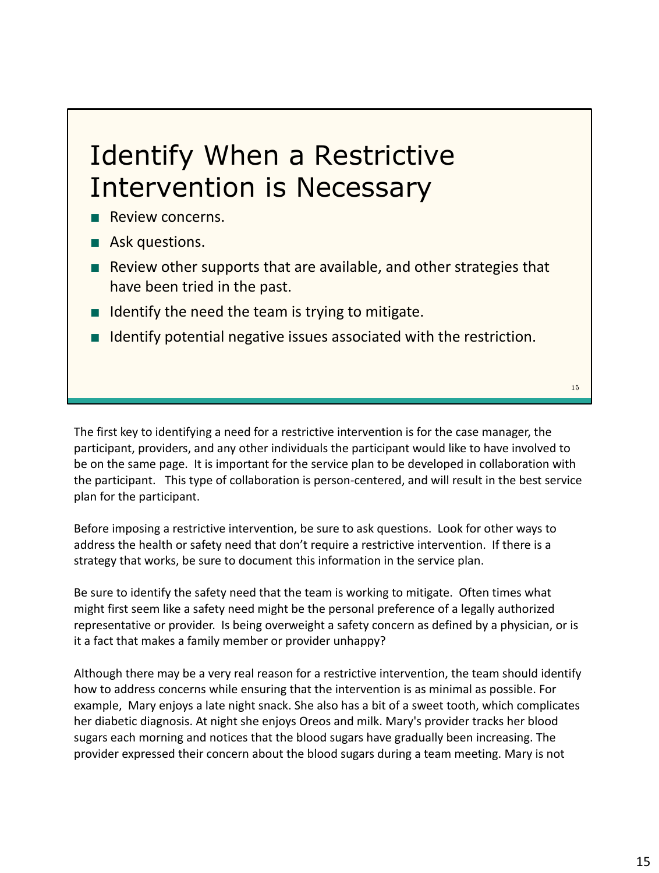### Identify When a Restrictive Intervention is Necessary

- Review concerns.
- Ask questions.
- Review other supports that are available, and other strategies that have been tried in the past.
- Identify the need the team is trying to mitigate.
- Identify potential negative issues associated with the restriction.

The first key to identifying a need for a restrictive intervention is for the case manager, the participant, providers, and any other individuals the participant would like to have involved to be on the same page. It is important for the service plan to be developed in collaboration with the participant. This type of collaboration is person-centered, and will result in the best service plan for the participant.

Before imposing a restrictive intervention, be sure to ask questions. Look for other ways to address the health or safety need that don't require a restrictive intervention. If there is a strategy that works, be sure to document this information in the service plan.

Be sure to identify the safety need that the team is working to mitigate. Often times what might first seem like a safety need might be the personal preference of a legally authorized representative or provider. Is being overweight a safety concern as defined by a physician, or is it a fact that makes a family member or provider unhappy?

Although there may be a very real reason for a restrictive intervention, the team should identify how to address concerns while ensuring that the intervention is as minimal as possible. For example, Mary enjoys a late night snack. She also has a bit of a sweet tooth, which complicates her diabetic diagnosis. At night she enjoys Oreos and milk. Mary's provider tracks her blood sugars each morning and notices that the blood sugars have gradually been increasing. The provider expressed their concern about the blood sugars during a team meeting. Mary is not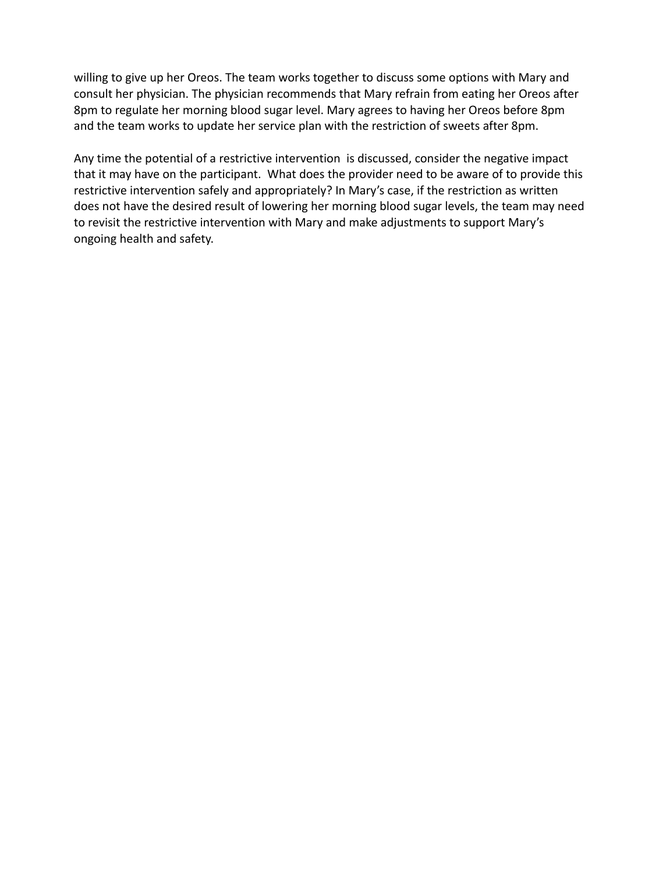willing to give up her Oreos. The team works together to discuss some options with Mary and consult her physician. The physician recommends that Mary refrain from eating her Oreos after 8pm to regulate her morning blood sugar level. Mary agrees to having her Oreos before 8pm and the team works to update her service plan with the restriction of sweets after 8pm.

Any time the potential of a restrictive intervention is discussed, consider the negative impact that it may have on the participant. What does the provider need to be aware of to provide this restrictive intervention safely and appropriately? In Mary's case, if the restriction as written does not have the desired result of lowering her morning blood sugar levels, the team may need to revisit the restrictive intervention with Mary and make adjustments to support Mary's ongoing health and safety.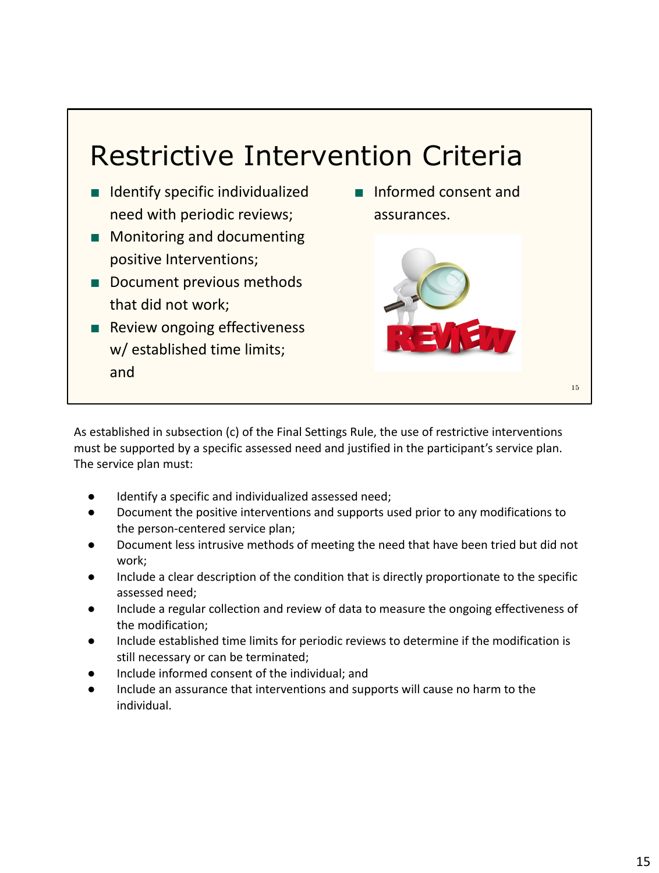### Restrictive Intervention Criteria

- Identify specific individualized need with periodic reviews;
- Monitoring and documenting positive Interventions;
- Document previous methods that did not work;
- Review ongoing effectiveness w/ established time limits; and

■ Informed consent and assurances.



As established in subsection (c) of the Final Settings Rule, the use of restrictive interventions must be supported by a specific assessed need and justified in the participant's service plan. The service plan must:

- Identify a specific and individualized assessed need;
- Document the positive interventions and supports used prior to any modifications to the person-centered service plan;
- Document less intrusive methods of meeting the need that have been tried but did not work;
- Include a clear description of the condition that is directly proportionate to the specific assessed need;
- Include a regular collection and review of data to measure the ongoing effectiveness of the modification;
- Include established time limits for periodic reviews to determine if the modification is still necessary or can be terminated;
- Include informed consent of the individual; and
- Include an assurance that interventions and supports will cause no harm to the individual.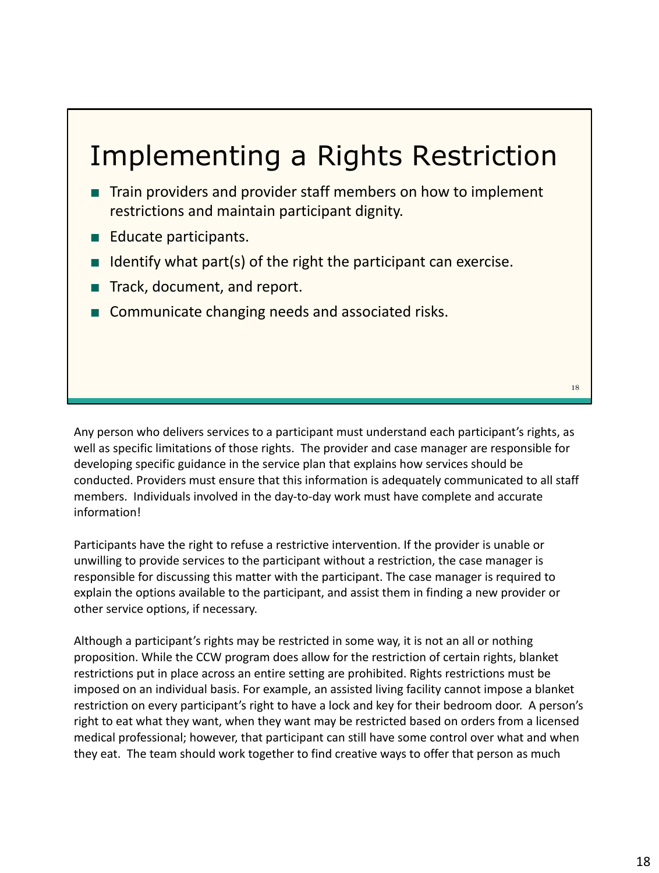### Implementing a Rights Restriction

- Train providers and provider staff members on how to implement restrictions and maintain participant dignity.
- Educate participants.
- $\blacksquare$  Identify what part(s) of the right the participant can exercise.
- Track, document, and report.
- Communicate changing needs and associated risks.

Any person who delivers services to a participant must understand each participant's rights, as well as specific limitations of those rights. The provider and case manager are responsible for developing specific guidance in the service plan that explains how services should be conducted. Providers must ensure that this information is adequately communicated to all staff members. Individuals involved in the day-to-day work must have complete and accurate information!

Participants have the right to refuse a restrictive intervention. If the provider is unable or unwilling to provide services to the participant without a restriction, the case manager is responsible for discussing this matter with the participant. The case manager is required to explain the options available to the participant, and assist them in finding a new provider or other service options, if necessary.

Although a participant's rights may be restricted in some way, it is not an all or nothing proposition. While the CCW program does allow for the restriction of certain rights, blanket restrictions put in place across an entire setting are prohibited. Rights restrictions must be imposed on an individual basis. For example, an assisted living facility cannot impose a blanket restriction on every participant's right to have a lock and key for their bedroom door. A person's right to eat what they want, when they want may be restricted based on orders from a licensed medical professional; however, that participant can still have some control over what and when they eat. The team should work together to find creative ways to offer that person as much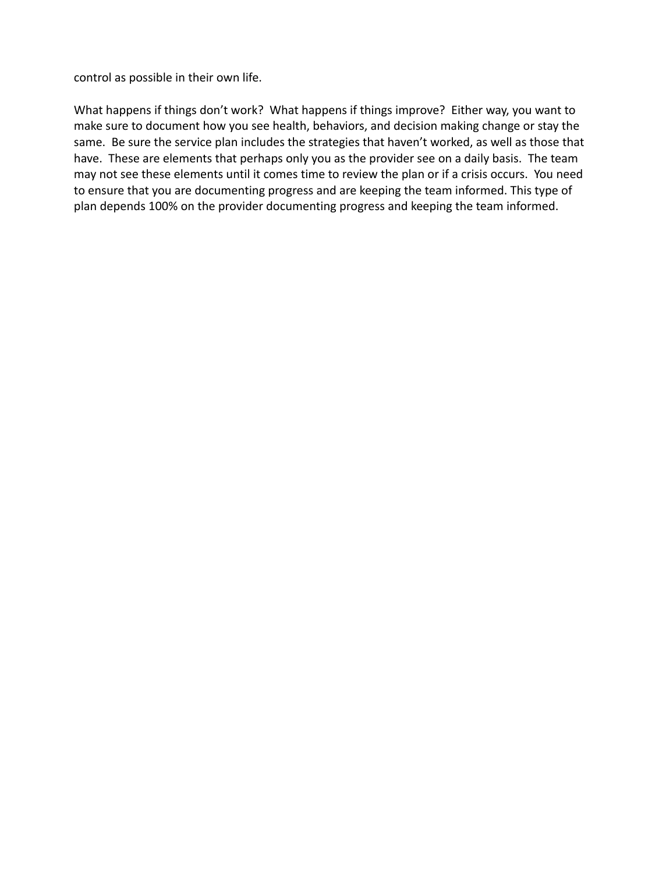control as possible in their own life.

What happens if things don't work? What happens if things improve? Either way, you want to make sure to document how you see health, behaviors, and decision making change or stay the same. Be sure the service plan includes the strategies that haven't worked, as well as those that have. These are elements that perhaps only you as the provider see on a daily basis. The team may not see these elements until it comes time to review the plan or if a crisis occurs. You need to ensure that you are documenting progress and are keeping the team informed. This type of plan depends 100% on the provider documenting progress and keeping the team informed.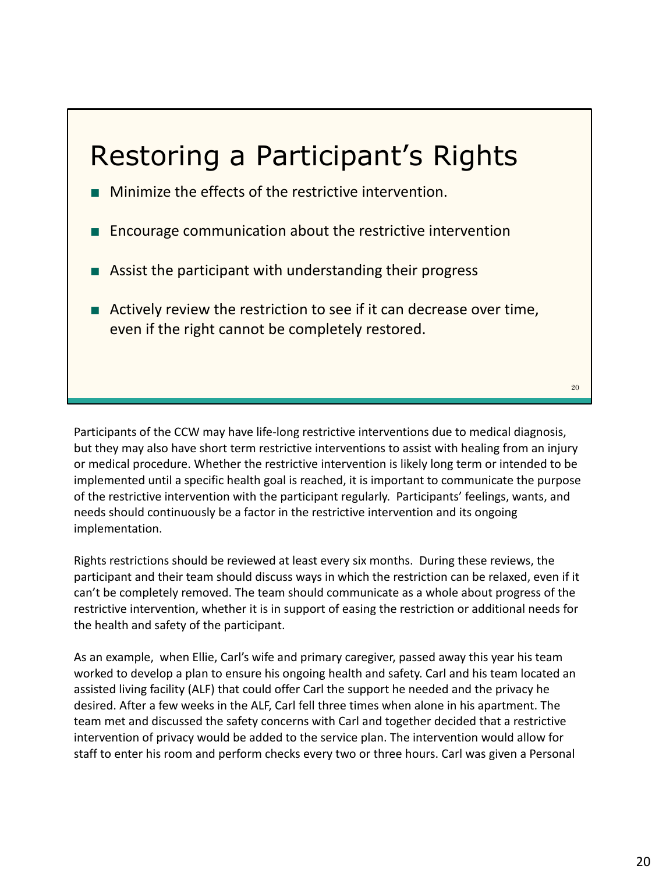### Restoring a Participant's Rights

- Minimize the effects of the restrictive intervention.
- Encourage communication about the restrictive intervention
- Assist the participant with understanding their progress
- Actively review the restriction to see if it can decrease over time, even if the right cannot be completely restored.

Participants of the CCW may have life-long restrictive interventions due to medical diagnosis, but they may also have short term restrictive interventions to assist with healing from an injury or medical procedure. Whether the restrictive intervention is likely long term or intended to be implemented until a specific health goal is reached, it is important to communicate the purpose of the restrictive intervention with the participant regularly. Participants' feelings, wants, and needs should continuously be a factor in the restrictive intervention and its ongoing implementation.

Rights restrictions should be reviewed at least every six months. During these reviews, the participant and their team should discuss ways in which the restriction can be relaxed, even if it can't be completely removed. The team should communicate as a whole about progress of the restrictive intervention, whether it is in support of easing the restriction or additional needs for the health and safety of the participant.

As an example, when Ellie, Carl's wife and primary caregiver, passed away this year his team worked to develop a plan to ensure his ongoing health and safety. Carl and his team located an assisted living facility (ALF) that could offer Carl the support he needed and the privacy he desired. After a few weeks in the ALF, Carl fell three times when alone in his apartment. The team met and discussed the safety concerns with Carl and together decided that a restrictive intervention of privacy would be added to the service plan. The intervention would allow for staff to enter his room and perform checks every two or three hours. Carl was given a Personal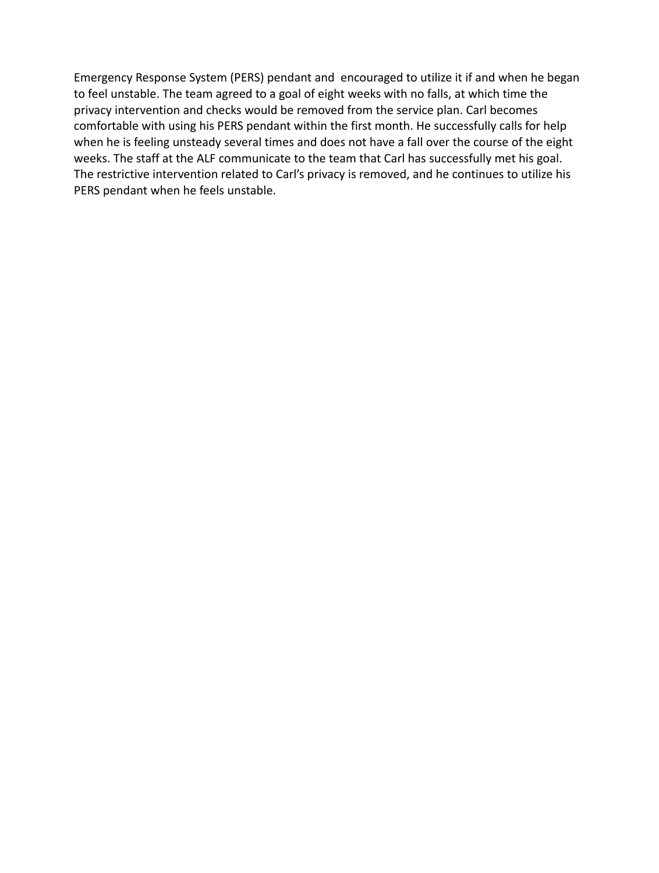Emergency Response System (PERS) pendant and encouraged to utilize it if and when he began to feel unstable. The team agreed to a goal of eight weeks with no falls, at which time the privacy intervention and checks would be removed from the service plan. Carl becomes comfortable with using his PERS pendant within the first month. He successfully calls for help when he is feeling unsteady several times and does not have a fall over the course of the eight weeks. The staff at the ALF communicate to the team that Carl has successfully met his goal. The restrictive intervention related to Carl's privacy is removed, and he continues to utilize his PERS pendant when he feels unstable.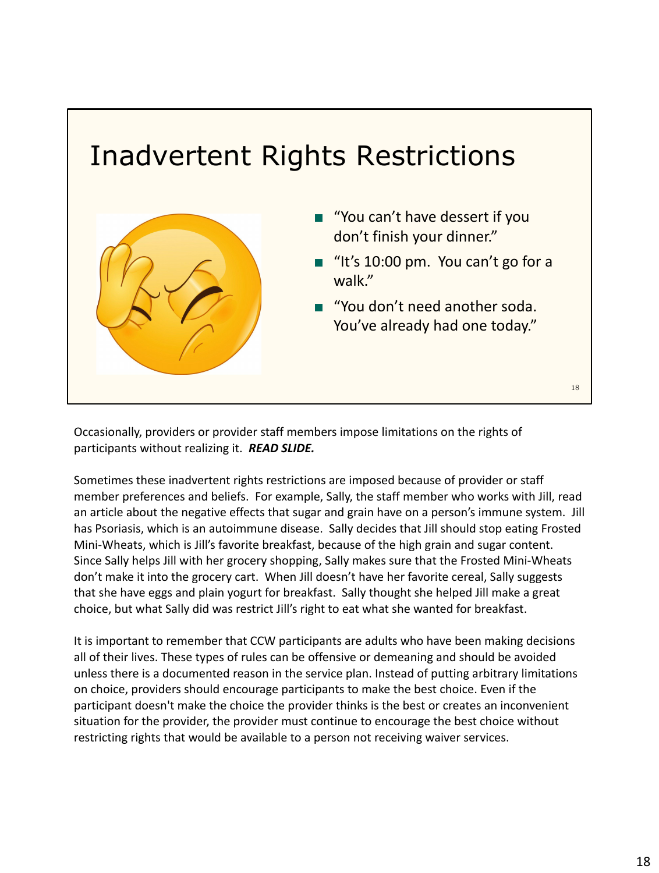# Inadvertent Rights Restrictions 18 ■ "You can't have dessert if you don't finish your dinner." ■ "It's 10:00 pm. You can't go for a walk." ■ "You don't need another soda. You've already had one today."

Occasionally, providers or provider staff members impose limitations on the rights of participants without realizing it. *READ SLIDE.*

Sometimes these inadvertent rights restrictions are imposed because of provider or staff member preferences and beliefs. For example, Sally, the staff member who works with Jill, read an article about the negative effects that sugar and grain have on a person's immune system. Jill has Psoriasis, which is an autoimmune disease. Sally decides that Jill should stop eating Frosted Mini-Wheats, which is Jill's favorite breakfast, because of the high grain and sugar content. Since Sally helps Jill with her grocery shopping, Sally makes sure that the Frosted Mini-Wheats don't make it into the grocery cart. When Jill doesn't have her favorite cereal, Sally suggests that she have eggs and plain yogurt for breakfast. Sally thought she helped Jill make a great choice, but what Sally did was restrict Jill's right to eat what she wanted for breakfast.

It is important to remember that CCW participants are adults who have been making decisions all of their lives. These types of rules can be offensive or demeaning and should be avoided unless there is a documented reason in the service plan. Instead of putting arbitrary limitations on choice, providers should encourage participants to make the best choice. Even if the participant doesn't make the choice the provider thinks is the best or creates an inconvenient situation for the provider, the provider must continue to encourage the best choice without restricting rights that would be available to a person not receiving waiver services.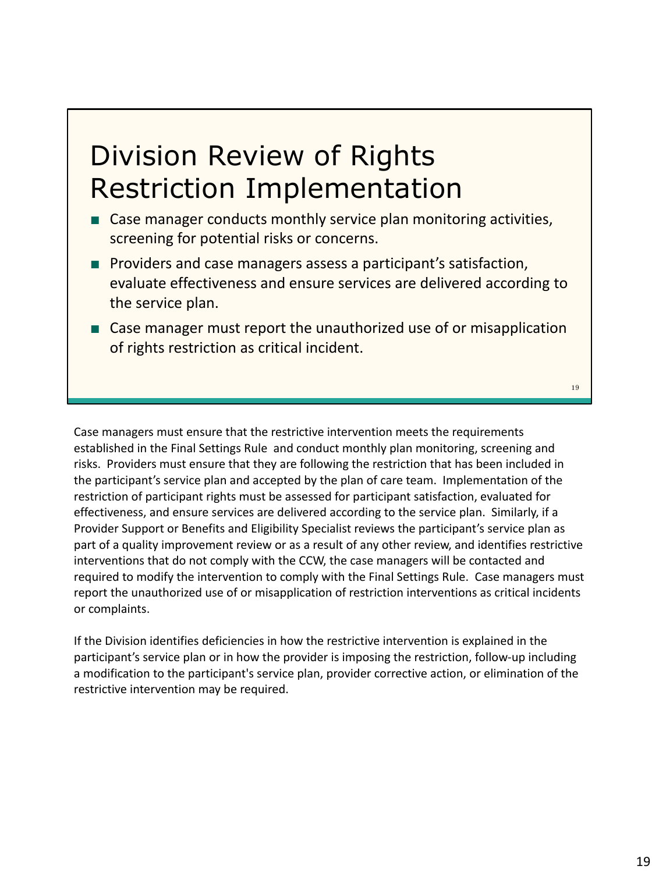### Division Review of Rights Restriction Implementation

- Case manager conducts monthly service plan monitoring activities, screening for potential risks or concerns.
- Providers and case managers assess a participant's satisfaction, evaluate effectiveness and ensure services are delivered according to the service plan.
- Case manager must report the unauthorized use of or misapplication of rights restriction as critical incident.

19

Case managers must ensure that the restrictive intervention meets the requirements established in the Final Settings Rule and conduct monthly plan monitoring, screening and risks. Providers must ensure that they are following the restriction that has been included in the participant's service plan and accepted by the plan of care team. Implementation of the restriction of participant rights must be assessed for participant satisfaction, evaluated for effectiveness, and ensure services are delivered according to the service plan. Similarly, if a Provider Support or Benefits and Eligibility Specialist reviews the participant's service plan as part of a quality improvement review or as a result of any other review, and identifies restrictive interventions that do not comply with the CCW, the case managers will be contacted and required to modify the intervention to comply with the Final Settings Rule. Case managers must report the unauthorized use of or misapplication of restriction interventions as critical incidents or complaints.

If the Division identifies deficiencies in how the restrictive intervention is explained in the participant's service plan or in how the provider is imposing the restriction, follow-up including a modification to the participant's service plan, provider corrective action, or elimination of the restrictive intervention may be required.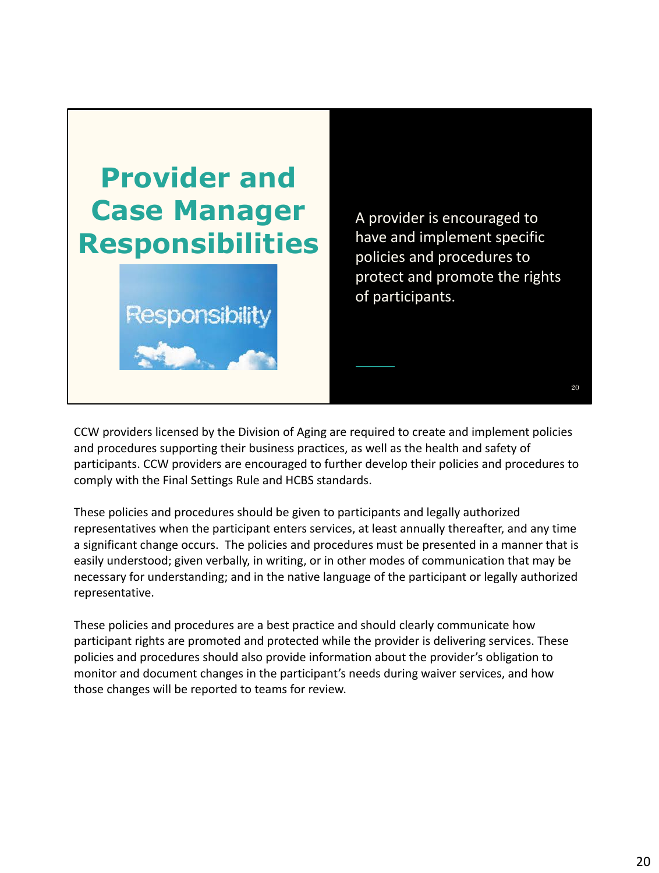

A provider is encouraged to have and implement specific policies and procedures to protect and promote the rights of participants.

20

CCW providers licensed by the Division of Aging are required to create and implement policies and procedures supporting their business practices, as well as the health and safety of participants. CCW providers are encouraged to further develop their policies and procedures to comply with the Final Settings Rule and HCBS standards.

These policies and procedures should be given to participants and legally authorized representatives when the participant enters services, at least annually thereafter, and any time a significant change occurs. The policies and procedures must be presented in a manner that is easily understood; given verbally, in writing, or in other modes of communication that may be necessary for understanding; and in the native language of the participant or legally authorized representative.

These policies and procedures are a best practice and should clearly communicate how participant rights are promoted and protected while the provider is delivering services. These policies and procedures should also provide information about the provider's obligation to monitor and document changes in the participant's needs during waiver services, and how those changes will be reported to teams for review.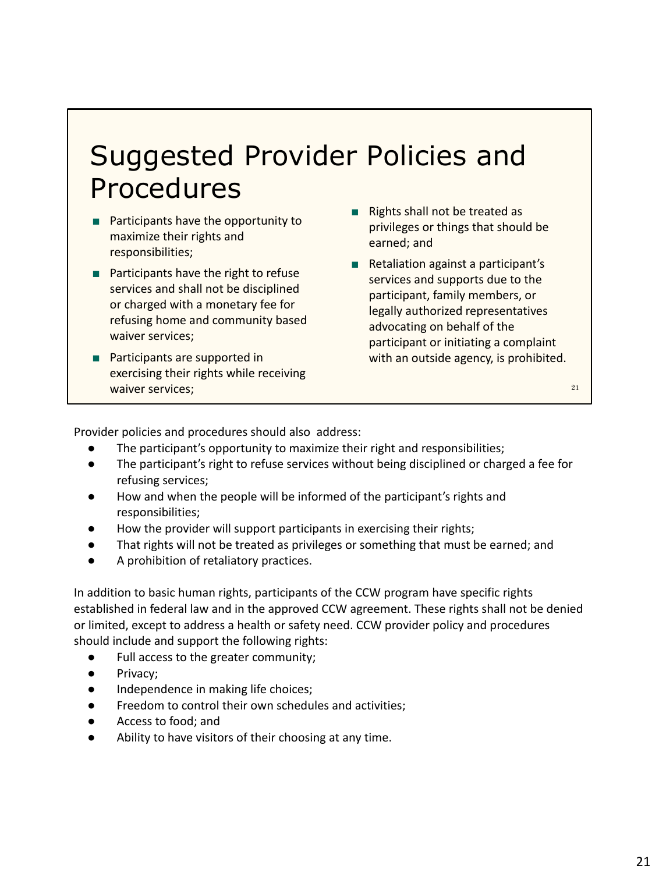### Suggested Provider Policies and Procedures

- Participants have the opportunity to maximize their rights and responsibilities;
- Participants have the right to refuse services and shall not be disciplined or charged with a monetary fee for refusing home and community based waiver services;
- Participants are supported in exercising their rights while receiving waiver services;
- **Rights shall not be treated as** privileges or things that should be earned; and
- Retaliation against a participant's services and supports due to the participant, family members, or legally authorized representatives advocating on behalf of the participant or initiating a complaint with an outside agency, is prohibited.

21

Provider policies and procedures should also address:

- The participant's opportunity to maximize their right and responsibilities;
- The participant's right to refuse services without being disciplined or charged a fee for refusing services;
- How and when the people will be informed of the participant's rights and responsibilities;
- How the provider will support participants in exercising their rights;
- That rights will not be treated as privileges or something that must be earned; and
- A prohibition of retaliatory practices.

In addition to basic human rights, participants of the CCW program have specific rights established in federal law and in the approved CCW agreement. These rights shall not be denied or limited, except to address a health or safety need. CCW provider policy and procedures should include and support the following rights:

- Full access to the greater community;
- Privacy;
- Independence in making life choices;
- Freedom to control their own schedules and activities;
- Access to food; and
- Ability to have visitors of their choosing at any time.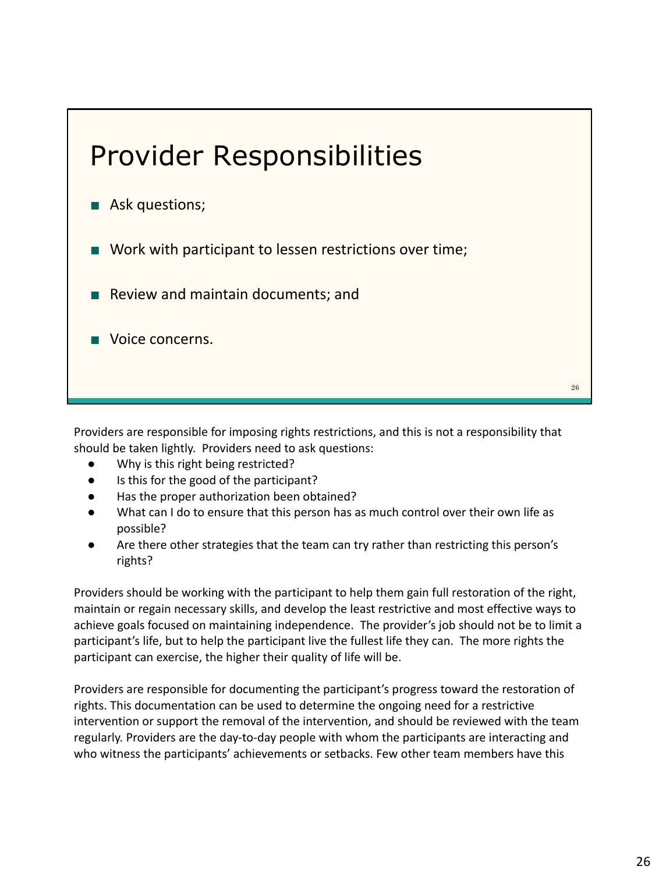

Providers are responsible for imposing rights restrictions, and this is not a responsibility that should be taken lightly. Providers need to ask questions:

- Why is this right being restricted?
- Is this for the good of the participant?
- Has the proper authorization been obtained?
- What can I do to ensure that this person has as much control over their own life as possible?
- Are there other strategies that the team can try rather than restricting this person's rights?

Providers should be working with the participant to help them gain full restoration of the right, maintain or regain necessary skills, and develop the least restrictive and most effective ways to achieve goals focused on maintaining independence. The provider's job should not be to limit a participant's life, but to help the participant live the fullest life they can. The more rights the participant can exercise, the higher their quality of life will be.

Providers are responsible for documenting the participant's progress toward the restoration of rights. This documentation can be used to determine the ongoing need for a restrictive intervention or support the removal of the intervention, and should be reviewed with the team regularly. Providers are the day-to-day people with whom the participants are interacting and who witness the participants' achievements or setbacks. Few other team members have this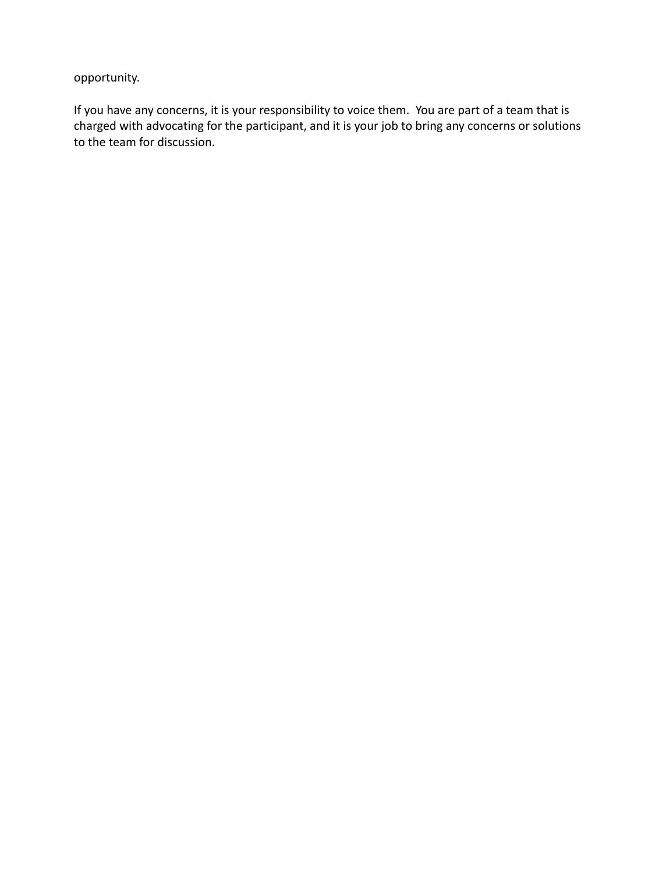opportunity.

If you have any concerns, it is your responsibility to voice them. You are part of a team that is charged with advocating for the participant, and it is your job to bring any concerns or solutions to the team for discussion.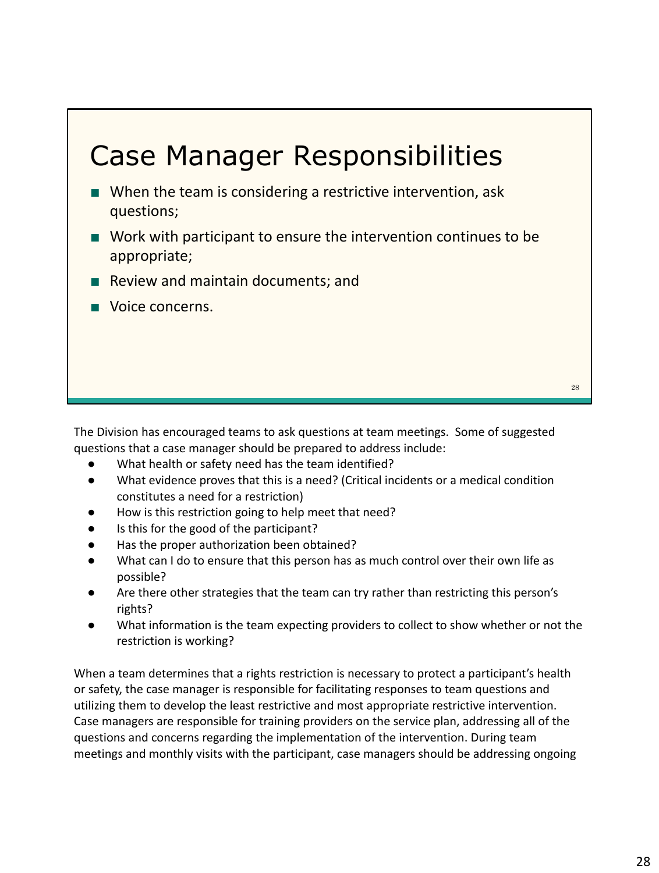## ■ When the team is considering a restrictive intervention, ask questions; ■ Work with participant to ensure the intervention continues to be appropriate; ■ Review and maintain documents; and ■ Voice concerns. Case Manager Responsibilities 28

The Division has encouraged teams to ask questions at team meetings. Some of suggested questions that a case manager should be prepared to address include:

- What health or safety need has the team identified?
- What evidence proves that this is a need? (Critical incidents or a medical condition constitutes a need for a restriction)
- How is this restriction going to help meet that need?
- Is this for the good of the participant?
- Has the proper authorization been obtained?
- What can I do to ensure that this person has as much control over their own life as possible?
- Are there other strategies that the team can try rather than restricting this person's rights?
- What information is the team expecting providers to collect to show whether or not the restriction is working?

When a team determines that a rights restriction is necessary to protect a participant's health or safety, the case manager is responsible for facilitating responses to team questions and utilizing them to develop the least restrictive and most appropriate restrictive intervention. Case managers are responsible for training providers on the service plan, addressing all of the questions and concerns regarding the implementation of the intervention. During team meetings and monthly visits with the participant, case managers should be addressing ongoing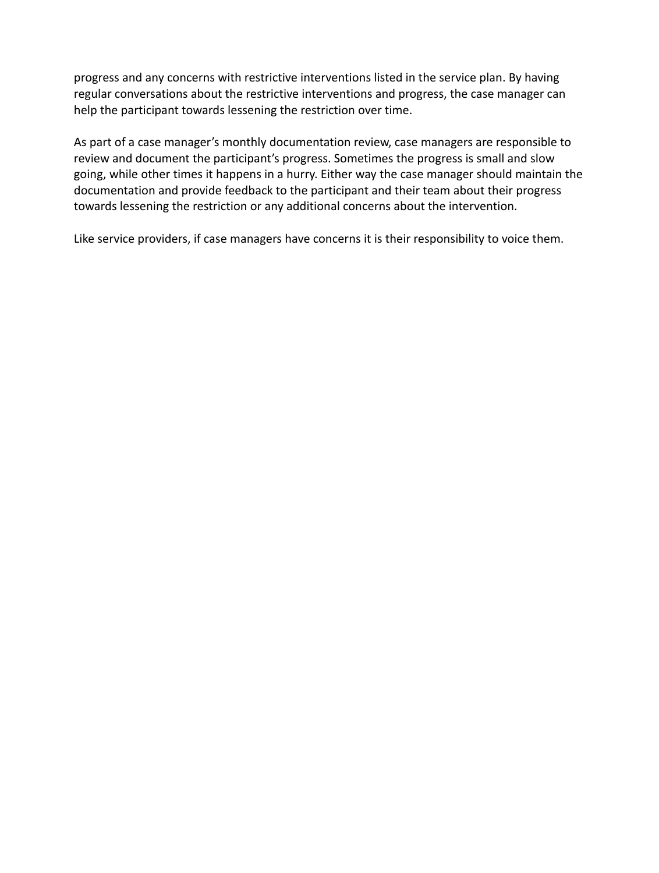progress and any concerns with restrictive interventions listed in the service plan. By having regular conversations about the restrictive interventions and progress, the case manager can help the participant towards lessening the restriction over time.

As part of a case manager's monthly documentation review, case managers are responsible to review and document the participant's progress. Sometimes the progress is small and slow going, while other times it happens in a hurry. Either way the case manager should maintain the documentation and provide feedback to the participant and their team about their progress towards lessening the restriction or any additional concerns about the intervention.

Like service providers, if case managers have concerns it is their responsibility to voice them.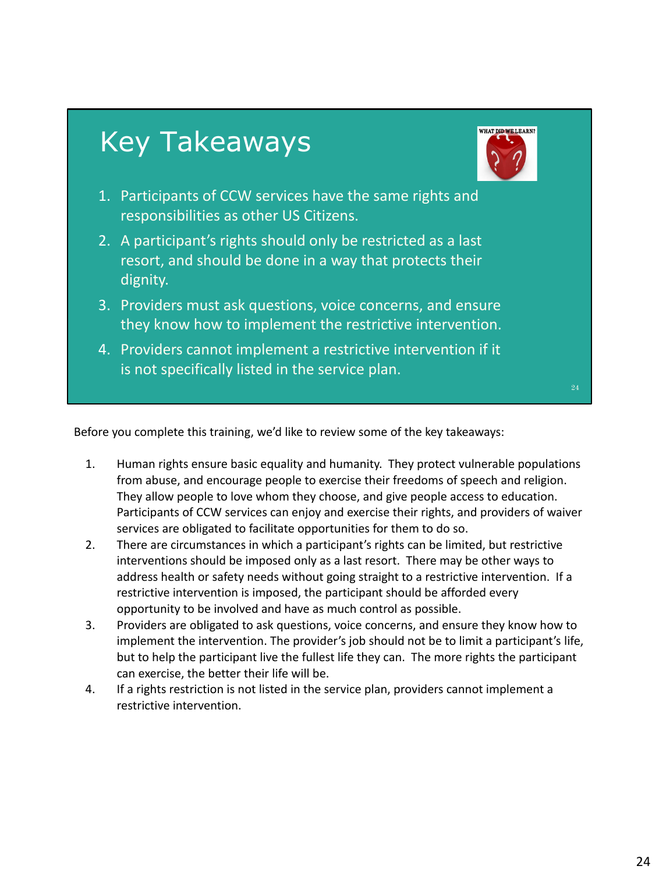

Before you complete this training, we'd like to review some of the key takeaways:

- 1. Human rights ensure basic equality and humanity. They protect vulnerable populations from abuse, and encourage people to exercise their freedoms of speech and religion. They allow people to love whom they choose, and give people access to education. Participants of CCW services can enjoy and exercise their rights, and providers of waiver services are obligated to facilitate opportunities for them to do so.
- 2. There are circumstances in which a participant's rights can be limited, but restrictive interventions should be imposed only as a last resort. There may be other ways to address health or safety needs without going straight to a restrictive intervention. If a restrictive intervention is imposed, the participant should be afforded every opportunity to be involved and have as much control as possible.
- 3. Providers are obligated to ask questions, voice concerns, and ensure they know how to implement the intervention. The provider's job should not be to limit a participant's life, but to help the participant live the fullest life they can. The more rights the participant can exercise, the better their life will be.
- 4. If a rights restriction is not listed in the service plan, providers cannot implement a restrictive intervention.